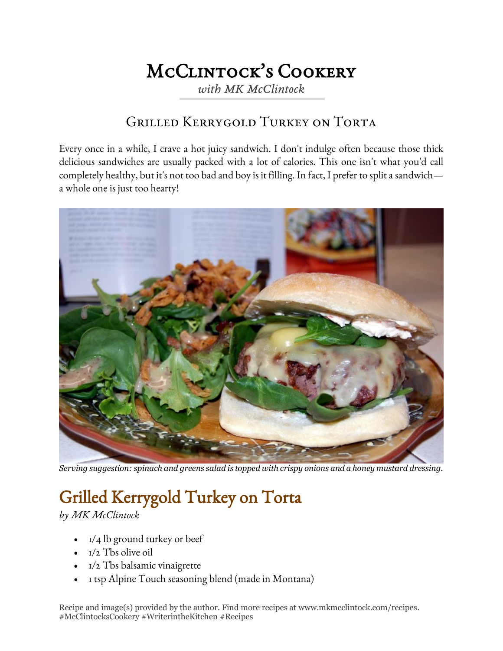## McClintock's Cookery

*with MK McClintock*

## Grilled Kerrygold Turkey on Torta

Every once in a while, I crave a hot juicy sandwich. I don't indulge often because those thick delicious sandwiches are usually packed with a lot of calories. This one isn't what you'd call completely healthy, but it's not too bad and boy is it filling. In fact, I prefer to split a sandwich a whole one is just too hearty!



*Serving suggestion: spinach and greens salad is topped with crispy onions and a honey mustard dressing.*

## Grilled Kerrygold Turkey on Torta

*by MK McClintock*

- $\bullet$  1/4 lb ground turkey or beef
- $\bullet$   $I/2$  Tbs olive oil
- 1/2 Tbs balsamic vinaigrette
- 1 tsp Alpine Touch seasoning blend (made in Montana)

Recipe and image(s) provided by the author. Find more recipes at www.mkmcclintock.com/recipes. #McClintocksCookery #WriterintheKitchen #Recipes